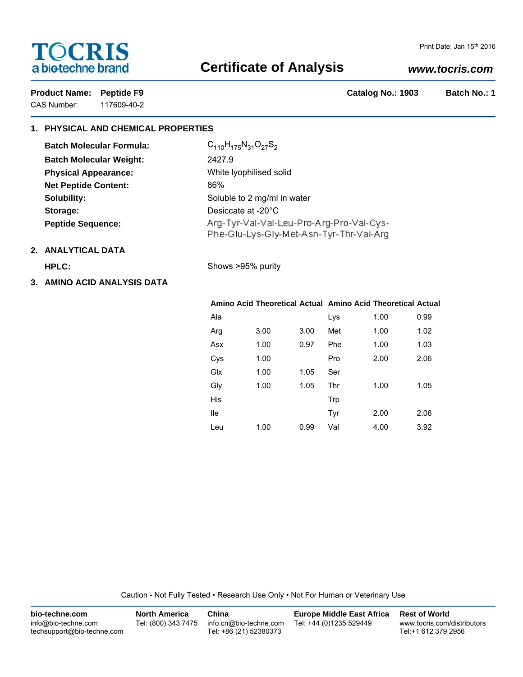# **TOCRIS** a biotechne brand

# **Certificate of Analysis**

## *www.tocris.com*

CAS Number: 117609-40-2

Product Name: Peptide F9 **Catalog No.: 1903** Batch No.: 1

# **1. PHYSICAL AND CHEMICAL PROPERTIES**

| <b>Batch Molecular Formula:</b> | $C_{110}H_{175}N_{31}O_{27}S_{2}$                                                   |
|---------------------------------|-------------------------------------------------------------------------------------|
| <b>Batch Molecular Weight:</b>  | 2427.9                                                                              |
| <b>Physical Appearance:</b>     | White Iyophilised solid                                                             |
| <b>Net Peptide Content:</b>     | 86%                                                                                 |
| Solubility:                     | Soluble to 2 mg/ml in water                                                         |
| Storage:                        | Desiccate at -20°C                                                                  |
| <b>Peptide Sequence:</b>        | Arg-Tyr-Val-Val-Leu-Pro-Arg-Pro-Val-Cys-<br>Phe-Glu-Lys-Gly-Met-Asn-Tyr-Thr-Val-Arg |

# **2. ANALYTICAL DATA**

**HPLC:** Shows >95% purity

**3. AMINO ACID ANALYSIS DATA**

### **Amino Acid Theoretical Actual Amino Acid Theoretical Actual**

| Ala |      |      | Lys | 1.00 | 0.99 |
|-----|------|------|-----|------|------|
| Arg | 3.00 | 3.00 | Met | 1.00 | 1.02 |
| Asx | 1.00 | 0.97 | Phe | 1.00 | 1.03 |
| Cys | 1.00 |      | Pro | 2.00 | 2.06 |
| Glx | 1.00 | 1.05 | Ser |      |      |
| Gly | 1.00 | 1.05 | Thr | 1.00 | 1.05 |
| His |      |      | Trp |      |      |
| lle |      |      | Tyr | 2.00 | 2.06 |
| Leu | 1.00 | 0.99 | Val | 4.00 | 3.92 |

Caution - Not Fully Tested • Research Use Only • Not For Human or Veterinary Use

| bio-techne.com                                    | <b>North America</b> | China                                            | <b>Europe Middle East Africa</b> | <b>Rest of World</b>                               |
|---------------------------------------------------|----------------------|--------------------------------------------------|----------------------------------|----------------------------------------------------|
| info@bio-techne.com<br>techsupport@bio-techne.com | Tel: (800) 343 7475  | info.cn@bio-techne.com<br>Tel: +86 (21) 52380373 | Tel: +44 (0)1235 529449          | www.tocris.com/distributors<br>Tel:+1 612 379 2956 |